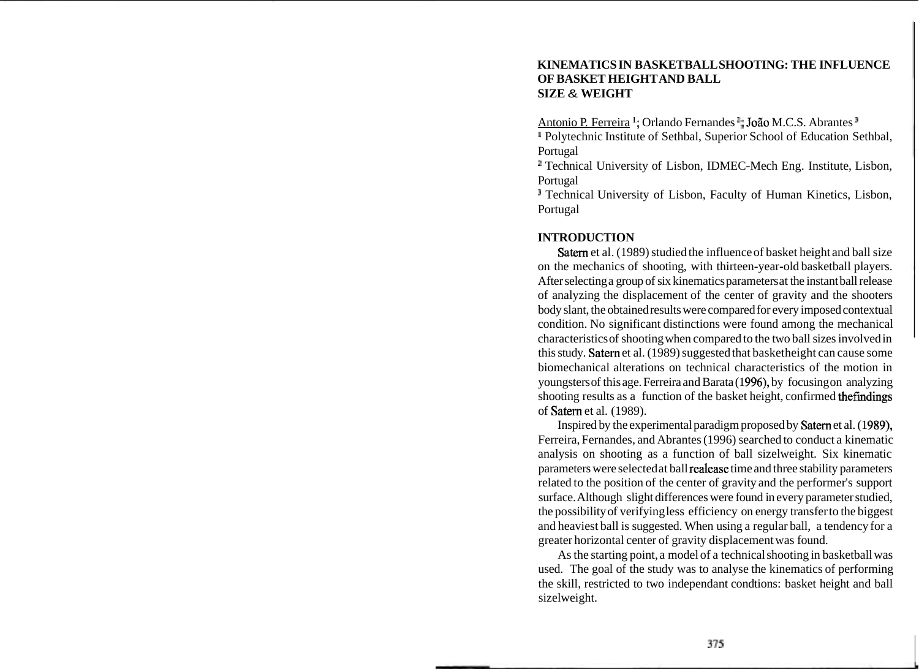## **KINEMATICS IN BASKETBALL SHOOTING: THE INFLUENCE OF BASKET HEIGHT AND BALL SIZE** & **WEIGHT**

Antonio P. Ferreira<sup>1</sup>: Orlando Fernandes **<sup>1</sup>; João M.C.S. Abrantes**<sup>1</sup>

<sup>II</sup> Polytechnic Institute of Sethbal, Superior School of Education Sethbal, Portugal

<sup>1</sup> Technical University of Lisbon, IDMEC-Mech Eng. Institute, Lisbon, Portugal

<sup>3</sup> Technical University of Lisbon, Faculty of Human Kinetics, Lisbon, Portugal

# **INTRODUCTION**

Satern et al. (1989) studied the influence of basket height and ball size on the mechanics of shooting, with thirteen-year-old basketball players. After selecting a group of six kinematics parameters at the instant ball release of analyzing the displacement of the center of gravity and the shooters body slant, the obtained results were compared for every imposed contextual condition. No significant distinctions were found among the mechanical characteristics of shooting when compared to the two ball sizes involved in this study. Satern et al. (1989) suggested that basketheight can cause some biomechanical alterations on technical characteristics of the motion in youngsters of this age. Ferreira and Barata (1996), by focusing on analyzing shooting results as a function of the basket height, confirmed thefindings of Satern et al. (1989).

Inspired by the experimental paradigm proposed by Satern et al. (1989), Ferreira, Fernandes, and Abrantes (1996) searched to conduct a kinematic analysis on shooting as a function of ball sizelweight. Six kinematic parameters were selected at ball realease time and three stability parameters related to the position of the center of gravity and the performer's support surface. Although slight differences were found in every parameter studied, the possibility of verifying less efficiency on energy transfer to the biggest and heaviest ball is suggested. When using a regular ball, a tendency for a greater horizontal center of gravity displacement was found.

As the starting point, a model of a technical shooting in basketball was used. The goal of the study was to analyse the kinematics of performing the skill, restricted to two independant condtions: basket height and ball sizelweight.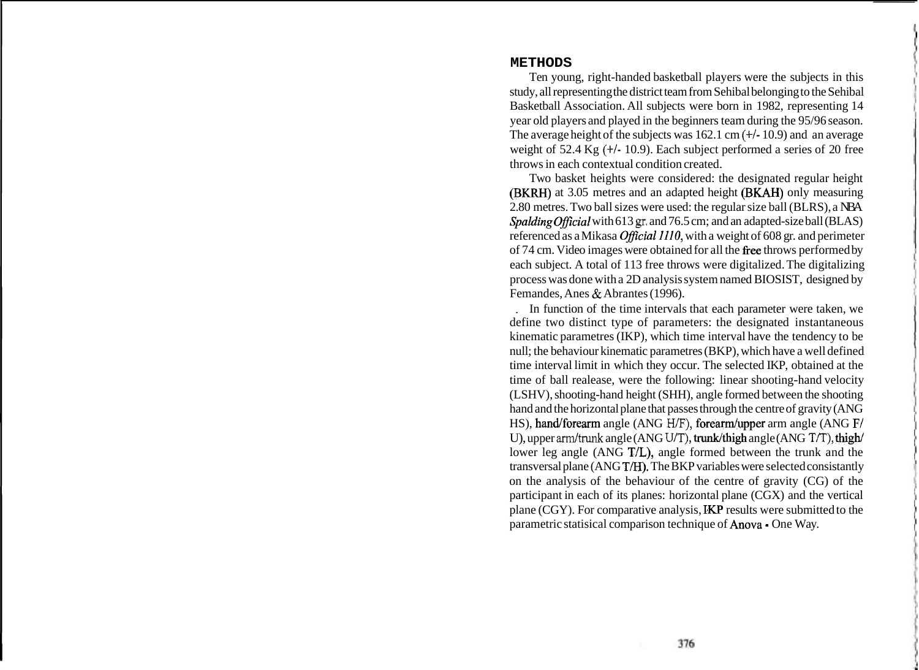#### **METHODS**

Ten young, right-handed basketball players were the subjects in this study, all representing the district team from Sehibal belonging to the Sehibal Basketball Association. All subjects were born in 1982, representing 14 year old players and played in the beginners team during the 95/96 season. The average height of the subjects was 162.1 cm  $(+/- 10.9)$  and an average weight of 52.4 Kg (+/- 10.9). Each subject performed a series of 20 free throws in each contextual condition created.

Two basket heights were considered: the designated regular height (BKRH) at 3.05 metres and an adapted height (BKAH) only measuring 2.80 metres. Two ball sizes were used: the regular size ball (BLRS), a NBA Spalding Official with 613 gr. and 76.5 cm; and an adapted-size ball (BLAS) referenced as a Mikasa *Official 1110*, with a weight of 608 gr. and perimeter of 74 cm. Video images were obtained for all the free throws performed by each subject. A total of 113 free throws were digitalized. The digitalizing process was done with a 2D analysis system named BIOSIST, designed by Femandes, Anes & Abrantes (1996).

In function of the time intervals that each parameter were taken, we define two distinct type of parameters: the designated instantaneous kinematic parametres (IKP), which time interval have the tendency to be null; the behaviour kinematic parametres (BKP), which have a well defined time interval limit in which they occur. The selected IKP, obtained at the time of ball realease, were the following: linear shooting-hand velocity (LSHV), shooting-hand height (SHH), angle formed between the shooting hand and the horizontal plane that passes through the centre of gravity (ANG HS), hand/forearm angle (ANG H/F), forearm/upper arm angle (ANG F/ U), upper arm/trunk angle (ANG U/T), trunk/thigh angle (ANG T/T), thigh/ lower leg angle (ANG T/L), angle formed between the trunk and the transversal plane (ANG T/H). The BKP variables were selected consistantly on the analysis of the behaviour of the centre of gravity (CG) of the participant in each of its planes: horizontal plane (CGX) and the vertical plane  $(CGY)$ . For comparative analysis,  $IKP$  results were submitted to the parametric statisical comparison technique of Anova - One Way.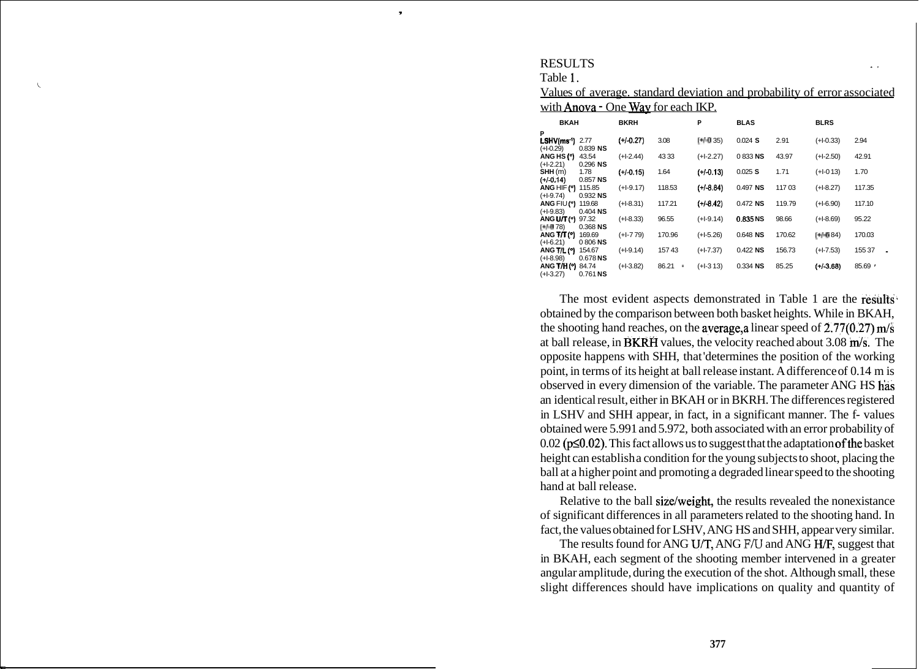## **RESULTS**

Table 1. **<sup>i</sup>**

| Values of average, standard deviation and probability of error associated |  |
|---------------------------------------------------------------------------|--|
| with <b>Anova</b> - One Way for each IKP.                                 |  |

| <b>BKAH</b>             |            | <b>BKRH</b> |             | P           | <b>BLAS</b> |        | <b>BLRS</b> |        |
|-------------------------|------------|-------------|-------------|-------------|-------------|--------|-------------|--------|
| P                       |            |             |             |             |             |        |             |        |
| LSHV(ms <sup>-1</sup> ) | 2.77       | $(+/-0.27)$ | 3.08        | $[+4035]$   | $0.024$ S   | 2.91   | $(+1-0.33)$ | 2.94   |
| $(+1-0.29)$             | $0.839$ NS |             |             |             |             |        |             |        |
| ANG HS(")               | 43.54      | $(+1-2.44)$ | 4333        | $(+1-2.27)$ | 0833NS      | 43.97  | $(+1-2.50)$ | 42.91  |
| $(+1-2.21)$             | $0.296$ NS |             |             |             |             |        |             |        |
| SHH(m)                  | 1.78       | $(+/-0.15)$ | 1.64        | $(+/-0.13)$ | 0.025 S     | 1.71   | $(+1-013)$  | 1.70   |
| $(+/-0.14)$             | $0.857$ NS |             |             |             |             |        |             |        |
| ANG HIF (°)             | 115.85     | $(+1-9.17)$ | 118.53      | $(+/-8.84)$ | $0.497$ NS  | 11703  | $(+1-8.27)$ | 117.35 |
| $(+1-9.74)$             | $0.932$ NS |             |             |             |             |        |             |        |
| ANG FIU (°)             | 119.68     | $(+1-8.31)$ | 117.21      | $(+/-8.42)$ | $0.472$ NS  | 119.79 | $(+1-6.90)$ | 117.10 |
| $(+1-9.83)$             | $0.404$ NS |             |             |             |             |        |             |        |
| ANG U/T (°)             | 97.32      | $(+1-8.33)$ | 96.55       | $(+1-9.14)$ | 0.835 NS    | 98.66  | $(+1-8.69)$ | 95.22  |
| $[+4078]$               | $0.368$ NS |             |             |             |             |        |             |        |
| ANG T/T (°)             | 169.69     | $(+1-779)$  | 170.96      | $(+1-5.26)$ | 0.648 NS    | 170.62 | $[+4684]$   | 170.03 |
| $(+1-6.21)$             | 0806NS     |             |             |             |             |        |             |        |
| <b>ANG T/L (°)</b>      | 154.67     | (+1-9.14)   | 15743       | $(+1-7.37)$ | $0.422$ NS  | 156.73 | $(+1-7.53)$ | 15537  |
| $(+1-8.98)$             | $0.678$ NS |             |             |             |             |        |             |        |
| ANG T/H (°)             | 84.74      | $(+1-3.82)$ | 86.21<br>ă, | $(+1-313)$  | $0.334$ NS  | 85.25  | $(+/-3.68)$ | 85.69  |
| $(+1-3.27)$             | $0.761$ NS |             |             |             |             |        |             |        |

The most evident aspects demonstrated in Table 1 are the results obtained by the comparison between both basket heights. While in BKAH, the shooting hand reaches, on the average, a linear speed of  $2.77(0.27)$  m/s at ball release, in BKRH values, the velocity reached about  $3.08 \text{ m/s}$ . The opposite happens with SHH, that 'determines the position of the working point, in terms of its height at ball release instant. A difference of 0.14 m is observed in every dimension of the variable. The parameter ANG HS has an identical result, either in BKAH or in BKRH. The differences registered in LSHV and SHH appear, in fact, in a significant manner. The f- values obtained were 5.991 and 5.972, both associated with an error probability of  $0.02$  ( $p \le 0.02$ ). This fact allows us to suggest that the adaptation of the basket height can establish a condition for the young subjects to shoot, placing the ball at a higher point and promoting a degraded linear speed to the shooting hand at ball release.

Relative to the ball size/weight, the results revealed the nonexistance of significant differences in all parameters related to the shooting hand. In fact, the values obtained for LSHV, ANG HS and SHH, appear very similar.

The results found for ANG U/T, ANG F/U and ANG H/F, suggest that in BKAH, each segment of the shooting member intervened in a greater angular amplitude, during the execution of the shot. Although small, these slight differences should have implications on quality and quantity of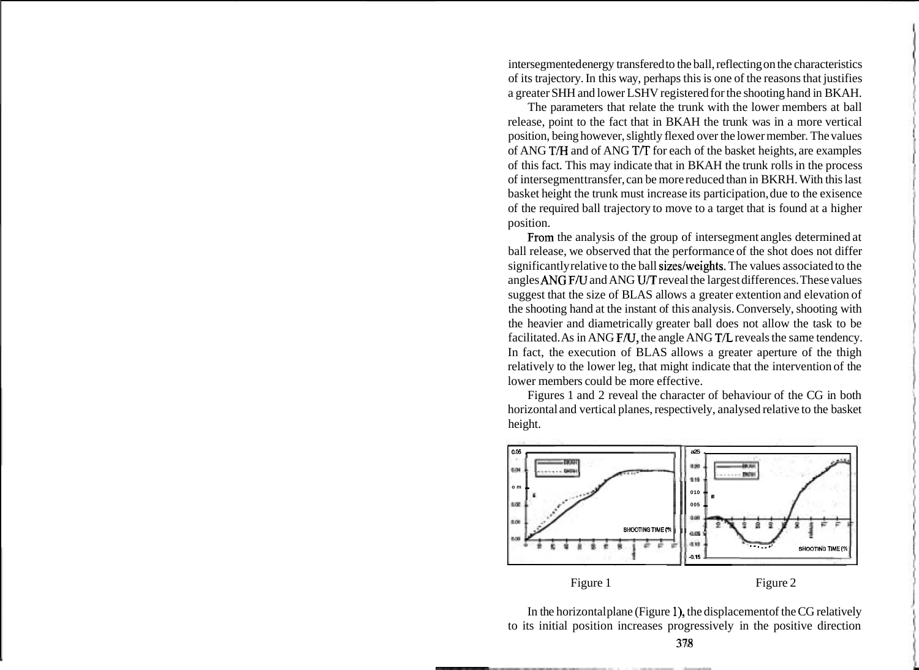intersegmented energy transfered to the ball, reflecting on the characteristics of its trajectory. In this way, perhaps this is one of the reasons that justifies a greater SHH and lower LSHV registered for the shooting hand in BKAH.

The parameters that relate the trunk with the lower members at ball release, point to the fact that in BKAH the trunk was in a more vertical position, being however, slightly flexed over the lower member. The values of ANG T/H and of ANG T/T for each of the basket heights, are examples of this fact. This may indicate that in BKAH the trunk rolls in the process of intersegment transfer, can be more reduced than in BKRH. With this last basket height the trunk must increase its participation, due to the exisence of the required ball trajectory to move to a target that is found at a higher position.

From the analysis of the group of intersegment angles determined at ball release, we observed that the performance of the shot does not differ significantly relative to the ball sizes/weights. The values associated to the angles ANG F/U and ANG U/T reveal the largest differences. These values suggest that the size of BLAS allows a greater extention and elevation of the shooting hand at the instant of this analysis. Conversely, shooting with the heavier and diametrically greater ball does not allow the task to be facilitated. As in ANG F/U, the angle ANG T/L reveals the same tendency. In fact, the execution of BLAS allows a greater aperture of the thigh relatively to the lower leg, that might indicate that the intervention of the lower members could be more effective.

Figures 1 and 2 reveal the character of behaviour of the CG in both horizontal and vertical planes, respectively, analysed relative to the basket height.



Figure 1 Figure 2

In the horizontal plane (Figure 1), the displacement of the CG relatively to its initial position increases progressively in the positive direction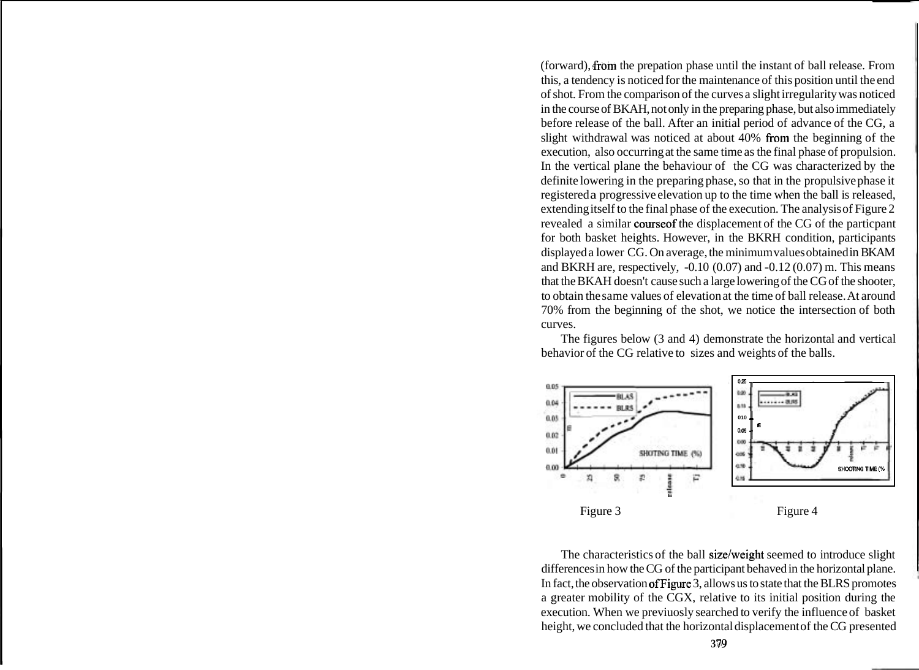(forward), from the prepation phase until the instant of ball release. From this, a tendency is noticed for the maintenance of this position until the end of shot. From the comparison of the curves a slight irregularity was noticed in the course of BKAH, not only in the preparing phase, but also immediately before release of the ball. After an initial period of advance of the CG, a slight withdrawal was noticed at about 40% from the beginning of the execution, also occurring at the same time as the final phase of propulsion. In the vertical plane the behaviour of the CG was characterized by the definite lowering in the preparing phase, so that in the propulsive phase it registered a progressive elevation up to the time when the ball is released, extending itself to the final phase of the execution. The analysis of Figure 2 revealed a similar courseof the displacement of the CG of the particpant for both basket heights. However, in the BKRH condition, participants displayed a lower CG. On average, the minimum values obtained in BKAM and BKRH are, respectively, -0.10 (0.07) and -0.12 (0.07) m. This means that the BKAH doesn't cause such a large lowering of the CG of the shooter, to obtain the same values of elevation at the time of ball release. At around 70% from the beginning of the shot, we notice the intersection of both curves.

The figures below (3 and 4) demonstrate the horizontal and vertical behavior of the CG relative to sizes and weights of the balls.



The characteristics of the ball size/weight seemed to introduce slight differences in how the CG of the participant behaved in the horizontal plane. In fact, the observation ofFigure 3, allows us to state that the BLRS promotes a greater mobility of the CGX, relative to its initial position during the execution. When we previuosly searched to verify the influence of basket height, we concluded that the horizontal displacement of the CG presented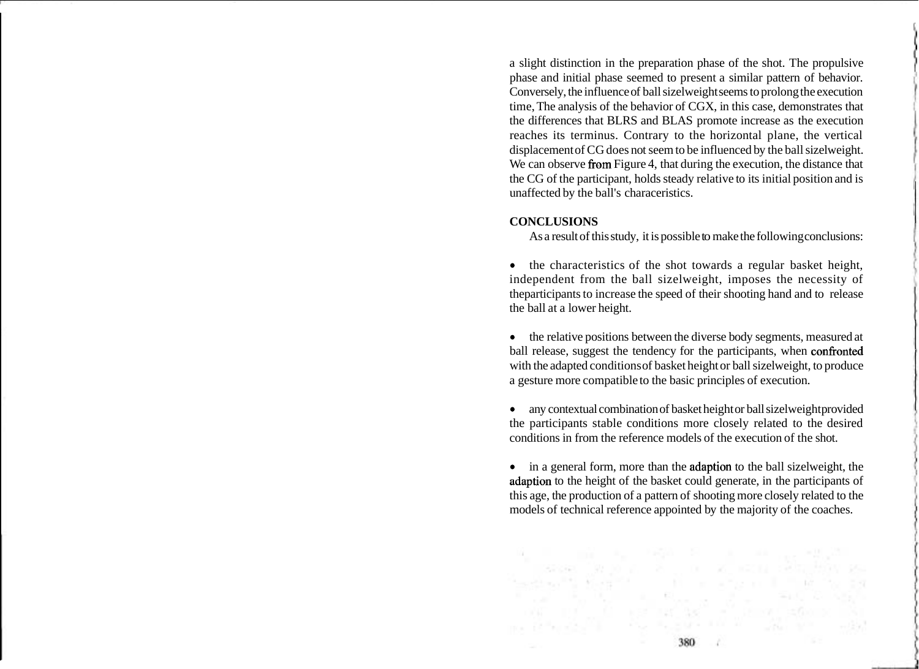a slight distinction in the preparation phase of the shot. The propulsive phase and initial phase seemed to present a similar pattern of behavior. Conversely, the influence of ball sizelweight seems to prolong the execution time, The analysis of the behavior of CGX, in this case, demonstrates that the differences that BLRS and BLAS promote increase as the execution reaches its terminus. Contrary to the horizontal plane, the vertical displacement of CG does not seem to be influenced by the ball sizelweight. We can observe from Figure 4, that during the execution, the distance that the CG of the participant, holds steady relative to its initial position and is unaffected by the ball's characeristics.

# **CONCLUSIONS**

As a result of this study, it is possible to make the following conclusions:

the characteristics of the shot towards a regular basket height, independent from the ball sizelweight, imposes the necessity of theparticipants to increase the speed of their shooting hand and to release the ball at a lower height.

the relative positions between the diverse body segments, measured at ball release, suggest the tendency for the participants, when confronted with the adapted conditions of basket height or ball sizelweight, to produce a gesture more compatible to the basic principles of execution.

any contextual combination of basket height or ball sizelweight provided the participants stable conditions more closely related to the desired conditions in from the reference models of the execution of the shot.

in a general form, more than the adaption to the ball sizelweight, the adaption to the height of the basket could generate, in the participants of this age, the production of a pattern of shooting more closely related to the models of technical reference appointed by the majority of the coaches.